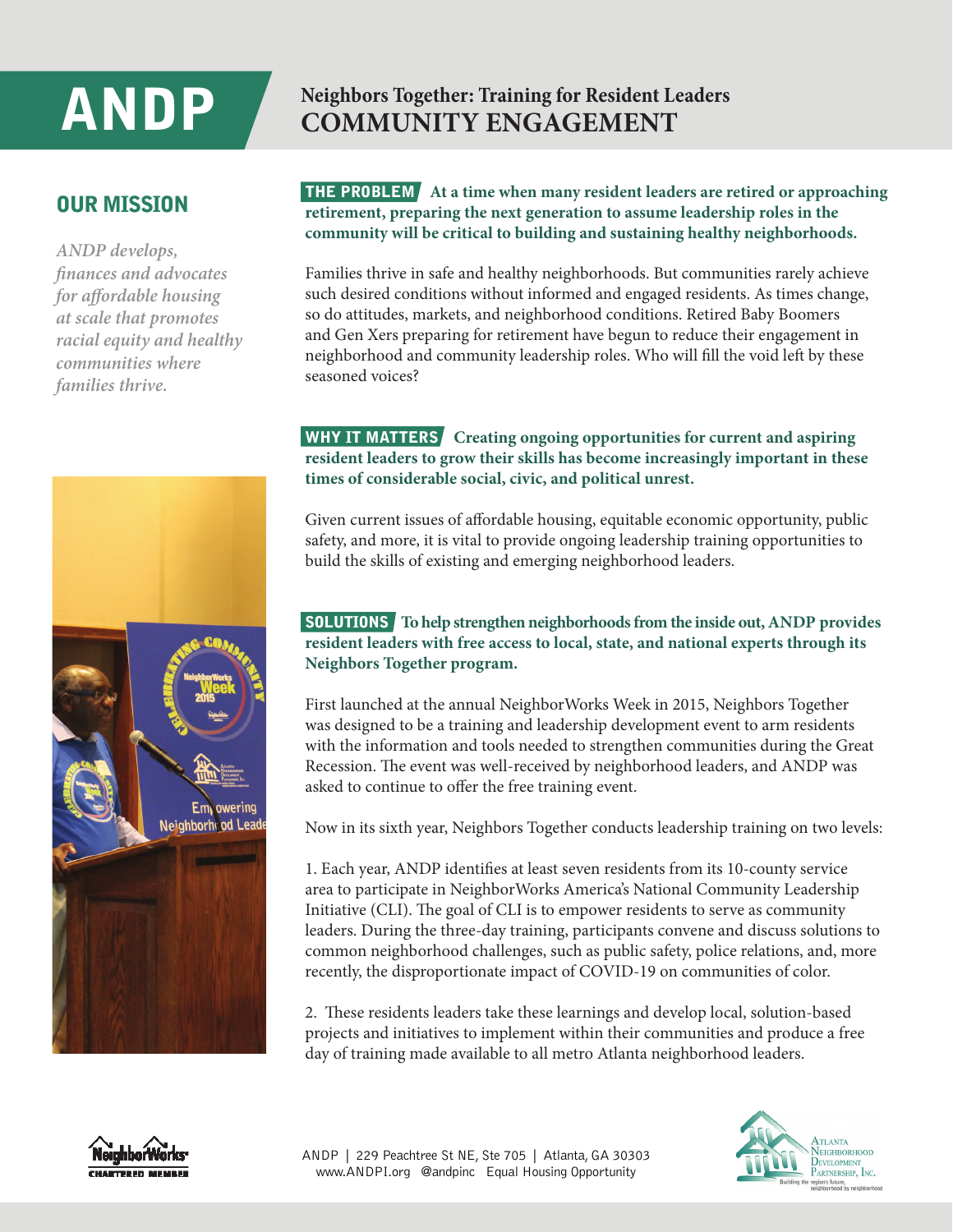# ANDP

## **Neighbors Together: Training for Resident Leaders COMMUNITY ENGAGEMENT**

## OUR MISSION

*ANDP develops, finances and advocates for affordable housing at scale that promotes racial equity and healthy communities where families thrive.*

#### THE PROBLEM **At a time when many resident leaders are retired or approaching retirement, preparing the next generation to assume leadership roles in the community will be critical to building and sustaining healthy neighborhoods.**

Families thrive in safe and healthy neighborhoods. But communities rarely achieve such desired conditions without informed and engaged residents. As times change, so do attitudes, markets, and neighborhood conditions. Retired Baby Boomers and Gen Xers preparing for retirement have begun to reduce their engagement in neighborhood and community leadership roles. Who will fill the void left by these seasoned voices?

#### WHY IT MATTERS **Creating ongoing opportunities for current and aspiring resident leaders to grow their skills has become increasingly important in these times of considerable social, civic, and political unrest.**

Given current issues of affordable housing, equitable economic opportunity, public safety, and more, it is vital to provide ongoing leadership training opportunities to build the skills of existing and emerging neighborhood leaders.

#### SOLUTIONS **To help strengthen neighborhoods from the inside out, ANDP provides resident leaders with free access to local, state, and national experts through its Neighbors Together program.**

First launched at the annual NeighborWorks Week in 2015, Neighbors Together was designed to be a training and leadership development event to arm residents with the information and tools needed to strengthen communities during the Great Recession. The event was well-received by neighborhood leaders, and ANDP was asked to continue to offer the free training event.

Now in its sixth year, Neighbors Together conducts leadership training on two levels:

1. Each year, ANDP identifies at least seven residents from its 10-county service area to participate in NeighborWorks America's National Community Leadership Initiative (CLI). The goal of CLI is to empower residents to serve as community leaders. During the three-day training, participants convene and discuss solutions to common neighborhood challenges, such as public safety, police relations, and, more recently, the disproportionate impact of COVID-19 on communities of color.

2. These residents leaders take these learnings and develop local, solution-based projects and initiatives to implement within their communities and produce a free day of training made available to all metro Atlanta neighborhood leaders.